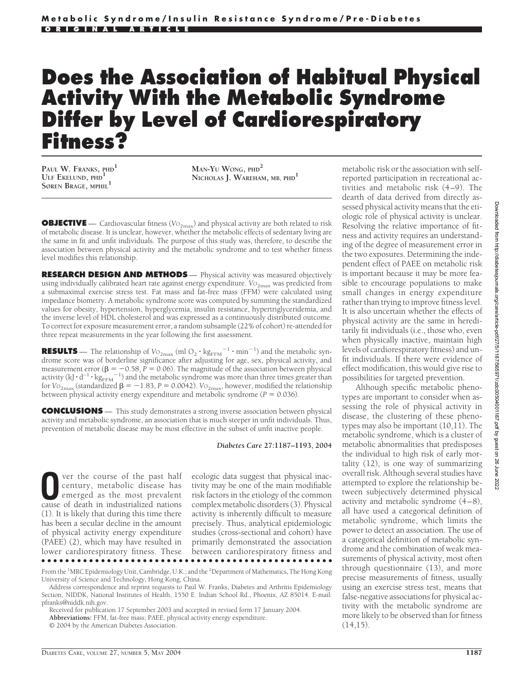# **Does the Association of Habitual Physical Activity With the Metabolic Syndrome Differ by Level of Cardiorespiratory Fitness?**

**PAUL W. FRANKS, PHD<sup>1</sup> ULF EKELUND, PHD<sup>1</sup> SØREN BRAGE, MPHIL<sup>1</sup>**

**MAN-YU WONG, PHD<sup>2</sup> NICHOLAS J. WAREHAM, MB, PHD1**

**OBJECTIVE** — Cardiovascular fitness (V<sub>O<sub>2max</sub>) and physical activity are both related to risk</sub> of metabolic disease. It is unclear, however, whether the metabolic effects of sedentary living are the same in fit and unfit individuals. The purpose of this study was, therefore, to describe the association between physical activity and the metabolic syndrome and to test whether fitness level modifies this relationship.

**RESEARCH DESIGN AND METHODS** — Physical activity was measured objectively using individually calibrated heart rate against energy expenditure. *V*O<sub>2max</sub> was predicted from a submaximal exercise stress test. Fat mass and fat-free mass (FFM) were calculated using impedance biometry. A metabolic syndrome score was computed by summing the standardized values for obesity, hypertension, hyperglycemia, insulin resistance, hypertriglyceridemia, and the inverse level of HDL cholesterol and was expressed as a continuously distributed outcome. To correct for exposure measurement error, a random subsample (22% of cohort) re-attended for three repeat measurements in the year following the first assessment.

**RESULTS** — The relationship of  $\text{Vo}_{2\text{max}}$  (ml  $\text{O}_2 \cdot \text{kg}_{\text{FFM}}^{-1} \cdot \text{min}^{-1}$ ) and the metabolic syndrome score was of borderline significance after adjusting for age, sex, physical activity, and measurement error ( $\beta = -0.58$ ,  $P = 0.06$ ). The magnitude of the association between physical activity (kJ  $\cdot$  d<sup>-1</sup>  $\cdot$  kg<sub>FFM</sub><sup>-1</sup>) and the metabolic syndrome was more than three times greater than for  $V_{\text{O}_{2\text{max}}}$  (standardized  $\beta = -1.83$ ,  $P = 0.0042$ ).  $V_{\text{O}_{2\text{max}}}$ , however, modified the relationship between physical activity energy expenditure and metabolic syndrome ( $P = 0.036$ ).

**CONCLUSIONS** — This study demonstrates a strong inverse association between physical activity and metabolic syndrome, an association that is much steeper in unfit individuals. Thus, prevention of metabolic disease may be most effective in the subset of unfit inactive people.

*Diabetes Care* **27:1187–1193, 2004**

**O**ver the course of the past half<br>century, metabolic disease has<br>emerged as the most prevalent<br>cause of death in industrialized nations century, metabolic disease has emerged as the most prevalent cause of death in industrialized nations (1). It is likely that during this time there has been a secular decline in the amount of physical activity energy expenditure (PAEE) (2), which may have resulted in lower cardiorespiratory fitness. These ●●●●●●●●●●●●●●●●●●●●●●●●●●●●●●●●●●●●●●●●●●●●●●●●●

ecologic data suggest that physical inactivity may be one of the main modifiable risk factors in the etiology of the common complex metabolic disorders (3). Physical activity is inherently difficult to measure precisely. Thus, analytical epidemiologic studies (cross-sectional and cohort) have primarily demonstrated the association between cardiorespiratory fitness and

metabolic risk or the association with selfreported participation in recreational activities and metabolic risk (4–9). The dearth of data derived from directly assessed physical activity means that the etiologic role of physical activity is unclear. Resolving the relative importance of fitness and activity requires an understanding of the degree of measurement error in the two exposures. Determining the independent effect of PAEE on metabolic risk is important because it may be more feasible to encourage populations to make small changes in energy expenditure rather than trying to improve fitness level. It is also uncertain whether the effects of physical activity are the same in hereditarily fit individuals (i.e., those who, even when physically inactive, maintain high levels of cardiorespiratory fitness) and unfit individuals. If there were evidence of effect modification, this would give rise to possibilities for targeted prevention.

Although specific metabolic phenotypes are important to consider when assessing the role of physical activity in disease, the clustering of these phenotypes may also be important (10,11). The metabolic syndrome, which is a cluster of metabolic abnormalities that predisposes the individual to high risk of early mortality (12), is one way of summarizing overall risk. Although several studies have attempted to explore the relationship between subjectively determined physical activity and metabolic syndrome (4–8), all have used a categorical definition of metabolic syndrome, which limits the power to detect an association. The use of a categorical definition of metabolic syndrome and the combination of weak measurements of physical activity, most often through questionnaire (13), and more precise measurements of fitness, usually using an exercise stress test, means that false-negative associations for physical activity with the metabolic syndrome are more likely to be observed than for fitness  $(14,15)$ .

From the <sup>1</sup>MRC Epidemiology Unit, Cambridge, U.K.; and the <sup>2</sup>Department of Mathematics, The Hong Kong University of Science and Technology, Hong Kong, China.

Address correspondence and reprint requests to Paul W. Franks, Diabetes and Arthritis Epidemiology Section, NIDDK, National Institutes of Health, 1550 E. Indian School Rd., Phoenix, AZ 85014. E-mail: pfranks@niddk.nih.gov.

Received for publication 17 September 2003 and accepted in revised form 17 January 2004.

**Abbreviations:** FFM, fat-free mass; PAEE, physical activity energy expenditure.

<sup>© 2004</sup> by the American Diabetes Association.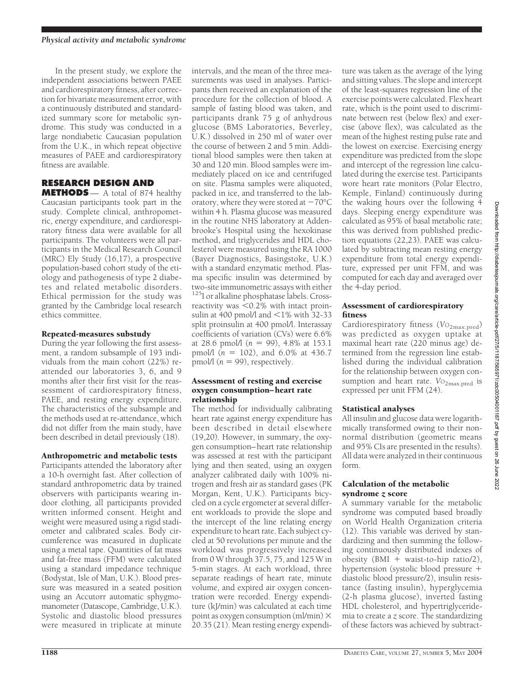In the present study, we explore the independent associations between PAEE and cardiorespiratory fitness, after correction for bivariate measurement error, with a continuously distributed and standardized summary score for metabolic syndrome. This study was conducted in a large nondiabetic Caucasian population from the U.K., in which repeat objective measures of PAEE and cardiorespiratory fitness are available.

## **RESEARCH DESIGN AND**

**METHODS** — A total of 874 healthy Caucasian participants took part in the study. Complete clinical, anthropometric, energy expenditure, and cardiorespiratory fitness data were available for all participants. The volunteers were all participants in the Medical Research Council (MRC) Ely Study (16,17), a prospective population-based cohort study of the etiology and pathogenesis of type 2 diabetes and related metabolic disorders. Ethical permission for the study was granted by the Cambridge local research ethics committee.

## Repeated-measures substudy

During the year following the first assessment, a random subsample of 193 individuals from the main cohort (22%) reattended our laboratories 3, 6, and 9 months after their first visit for the reassessment of cardiorespiratory fitness, PAEE, and resting energy expenditure. The characteristics of the subsample and the methods used at re-attendance, which did not differ from the main study, have been described in detail previously (18).

## Anthropometric and metabolic tests

Participants attended the laboratory after a 10-h overnight fast. After collection of standard anthropometric data by trained observers with participants wearing indoor clothing, all participants provided written informed consent. Height and weight were measured using a rigid stadiometer and calibrated scales. Body circumference was measured in duplicate using a metal tape. Quantities of fat mass and fat-free mass (FFM) were calculated using a standard impedance technique (Bodystat, Isle of Man, U.K.). Blood pressure was measured in a seated position using an Accutorr automatic sphygmomanometer (Datascope, Cambridge, U.K.). Systolic and diastolic blood pressures were measured in triplicate at minute

intervals, and the mean of the three measurements was used in analyses. Participants then received an explanation of the procedure for the collection of blood. A sample of fasting blood was taken, and participants drank 75 g of anhydrous glucose (BMS Laboratories, Beverley, U.K.) dissolved in 250 ml of water over the course of between 2 and 5 min. Additional blood samples were then taken at 30 and 120 min. Blood samples were immediately placed on ice and centrifuged on site. Plasma samples were aliquoted, packed in ice, and transferred to the laboratory, where they were stored at  $-70^{\circ}$ C within 4 h. Plasma glucose was measured in the routine NHS laboratory at Addenbrooke's Hospital using the hexokinase method, and triglycerides and HDL cholesterol were measured using the RA 1000 (Bayer Diagnostics, Basingstoke, U.K.) with a standard enzymatic method. Plasma specific insulin was determined by two-site immunometric assays with either <sup>125</sup>I or alkaline phosphatase labels. Crossreactivity was  $\leq 0.2\%$  with intact proinsulin at 400 pmol/l and  $\langle 1\%$  with 32-33 split proinsulin at 400 pmol/l. Interassay coefficients of variation (CVs) were 6.6% at 28.6 pmol/l  $(n = 99)$ , 4.8% at 153.1 pmol/l  $(n = 102)$ , and  $6.0\%$  at 436.7 pmol/l  $(n = 99)$ , respectively.

#### Assessment of resting and exercise oxygen consumption–heart rate relationship

The method for individually calibrating heart rate against energy expenditure has been described in detail elsewhere (19,20). However, in summary, the oxygen consumption–heart rate relationship was assessed at rest with the participant lying and then seated, using an oxygen analyzer calibrated daily with 100% nitrogen and fresh air as standard gases (PK Morgan, Kent, U.K.). Participants bicycled on a cycle ergometer at several different workloads to provide the slope and the intercept of the line relating energy expenditure to heart rate. Each subject cycled at 50 revolutions per minute and the workload was progressively increased from 0 W through 37.5, 75, and 125 W in 5-min stages. At each workload, three separate readings of heart rate, minute volume, and expired air oxygen concentration were recorded. Energy expenditure (kJ/min) was calculated at each time point as oxygen consumption (ml/min)  $\times$ 20.35 (21). Mean resting energy expenditure was taken as the average of the lying and sitting values. The slope and intercept of the least-squares regression line of the exercise points were calculated. Flex heart rate, which is the point used to discriminate between rest (below flex) and exercise (above flex), was calculated as the mean of the highest resting pulse rate and the lowest on exercise. Exercising energy expenditure was predicted from the slope and intercept of the regression line calculated during the exercise test. Participants wore heart rate monitors (Polar Electro, Kemple, Finland) continuously during the waking hours over the following 4 days. Sleeping energy expenditure was calculated as 95% of basal metabolic rate; this was derived from published prediction equations (22,23). PAEE was calculated by subtracting mean resting energy expenditure from total energy expenditure, expressed per unit FFM, and was computed for each day and averaged over the 4-day period.

## Assessment of cardiorespiratory fitness

Cardiorespiratory fitness (Vo<sub>2max.pred</sub>) was predicted as oxygen uptake at maximal heart rate (220 minus age) determined from the regression line established during the individual calibration for the relationship between oxygen consumption and heart rate. Vo<sub>2max.pred</sub> is expressed per unit FFM (24).

## Statistical analyses

All insulin and glucose data were logarithmically transformed owing to their nonnormal distribution (geometric means and 95% CIs are presented in the results). All data were analyzed in their continuous form.

### Calculation of the metabolic syndrome *z* score

A summary variable for the metabolic syndrome was computed based broadly on World Health Organization criteria (12). This variable was derived by standardizing and then summing the following continuously distributed indexes of obesity  $(BMI + \text{waist-to-hip ratio}/2)$ , hypertension (systolic blood pressure diastolic blood pressure/2), insulin resistance (fasting insulin), hyperglycemia (2-h plasma glucose), inverted fasting HDL cholesterol, and hypertriglyceridemia to create a *z* score. The standardizing of these factors was achieved by subtract-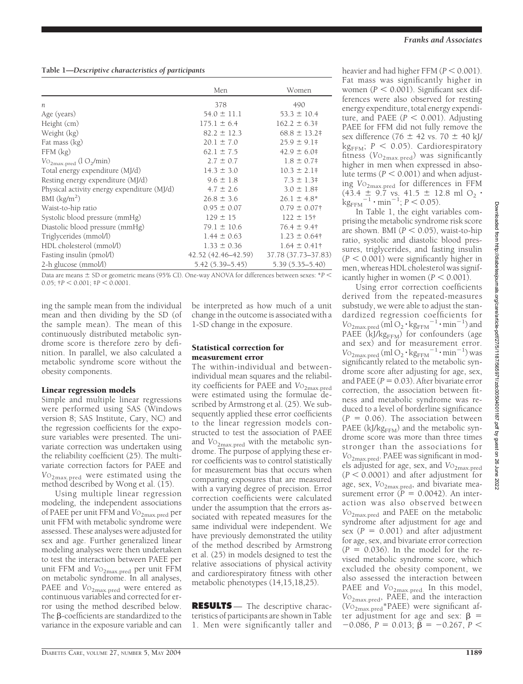## **Table 1—***Descriptive characteristics of participants*

|                                               | Men                 | Women                      |
|-----------------------------------------------|---------------------|----------------------------|
| n                                             | 378                 | 490                        |
| Age (years)                                   | $54.0 \pm 11.1$     | $53.3 \pm 10.4$            |
| Height (cm)                                   | $175.1 \pm 6.4$     | $162.2 \pm 6.3^{\ddagger}$ |
| Weight (kg)                                   | $82.2 \pm 12.3$     | $68.8 \pm 13.2$            |
| Fat mass (kg)                                 | $20.1 \pm 7.0$      | $25.9 \pm 9.1^{\circ}$     |
| $FFM$ $(kg)$                                  | $62.1 \pm 7.5$      | $42.9 \pm 6.0$ #           |
| $Vo_{2\text{max.pred}}$ (l $O_2/\text{min}$ ) | $2.7 \pm 0.7$       | $1.8 \pm 0.7$ #            |
| Total energy expenditure (MJ/d)               | $14.3 \pm 3.0$      | $10.3 \pm 2.1^*$           |
| Resting energy expenditure (MJ/d)             | $9.6 \pm 1.8$       | $7.3 \pm 1.3^{\ddagger}$   |
| Physical activity energy expenditure (MJ/d)   | $4.7 \pm 2.6$       | $3.0 \pm 1.8$ †            |
| BMI $(kg/m2)$                                 | $26.8 \pm 3.6$      | $26.1 \pm 4.8^*$           |
| Waist-to-hip ratio                            | $0.95 \pm 0.07$     | $0.79 \pm 0.07$ †          |
| Systolic blood pressure (mmHg)                | $129 \pm 15$        | $122 \pm 15$ †             |
| Diastolic blood pressure (mmHg)               | $79.1 \pm 10.6$     | $76.4 \pm 9.4$ †           |
| Triglycerides (mmol/l)                        | $1.44 \pm 0.63$     | $1.23 \pm 0.64$ †          |
| HDL cholesterol (mmol/l)                      | $1.33 \pm 0.36$     | $1.64 \pm 0.41$ †          |
| Fasting insulin (pmol/l)                      | 42.52 (42.46–42.59) | 37.78 (37.73-37.83)        |
| 2-h glucose (mmol/l)                          | $5.42(5.39 - 5.45)$ | $5.39(5.35 - 5.40)$        |

Data are means  $\pm$  SD or geometric means (95% CI). One-way ANOVA for differences between sexes:  $*P$  $0.05$ ;  $\uparrow P < 0.001$ ;  $\uparrow P < 0.0001$ .

ing the sample mean from the individual mean and then dividing by the SD (of the sample mean). The mean of this continuously distributed metabolic syndrome score is therefore zero by definition. In parallel, we also calculated a metabolic syndrome score without the obesity components.

### Linear regression models

Simple and multiple linear regressions were performed using SAS (Windows version 8; SAS Institute, Cary, NC) and the regression coefficients for the exposure variables were presented. The univariate correction was undertaken using the reliability coefficient (25). The multivariate correction factors for PAEE and *V*O2max.pred were estimated using the method described by Wong et al. (15).

Using multiple linear regression modeling, the independent associations of PAEE per unit FFM and Vo<sub>2max.pred</sub> per unit FFM with metabolic syndrome were assessed. These analyses were adjusted for sex and age. Further generalized linear modeling analyses were then undertaken to test the interaction between PAEE per unit FFM and *V*O<sub>2max.pred</sub> per unit FFM on metabolic syndrome. In all analyses, PAEE and V<sub>O2max.pred</sub> were entered as continuous variables and corrected for error using the method described below. The  $\beta$ -coefficients are standardized to the variance in the exposure variable and can

be interpreted as how much of a unit change in the outcome is associated with a 1-SD change in the exposure.

#### Statistical correction for measurement error

The within-individual and betweenindividual mean squares and the reliability coefficients for PAEE and Vo<sub>2max.pred</sub> were estimated using the formulae described by Armstrong et al. (25). We subsequently applied these error coefficients to the linear regression models constructed to test the association of PAEE and  $V_{\text{O}_{2\text{max,pred}}}$  with the metabolic syndrome. The purpose of applying these error coefficients was to control statistically for measurement bias that occurs when comparing exposures that are measured with a varying degree of precision. Error correction coefficients were calculated under the assumption that the errors associated with repeated measures for the same individual were independent. We have previously demonstrated the utility of the method described by Armstrong et al. (25) in models designed to test the relative associations of physical activity and cardiorespiratory fitness with other metabolic phenotypes (14,15,18,25).

**RESULTS** — The descriptive characteristics of participants are shown in Table 1. Men were significantly taller and

heavier and had higher FFM  $(P < 0.001)$ . Fat mass was significantly higher in women  $(P < 0.001)$ . Significant sex differences were also observed for resting energy expenditure, total energy expenditure, and PAEE  $(P < 0.001)$ . Adjusting PAEE for FFM did not fully remove the sex difference (76  $\pm$  42 vs. 70  $\pm$  40 kJ/ kg<sub>FFM</sub>;  $P$  < 0.05). Cardiorespiratory fitness (Vo<sub>2max.pred</sub>) was significantly higher in men when expressed in absolute terms ( $P < 0.001$ ) and when adjusting *V*O2max.pred for differences in FFM  $(43.4 \pm 9.7 \text{ vs. } 41.5 \pm 12.8 \text{ ml } O_2$ .  $\mathrm{kg}_{\mathrm{FFM}}^{-1} \cdot \mathrm{min}^{-1}$ ;  $P < 0.05$ ).

In Table 1, the eight variables comprising the metabolic syndrome risk score are shown. BMI  $(P < 0.05)$ , waist-to-hip ratio, systolic and diastolic blood pressures, triglycerides, and fasting insulin  $(P < 0.001)$  were significantly higher in men, whereas HDL cholesterol was significantly higher in women  $(P < 0.001)$ .

Using error correction coefficients derived from the repeated-measures substudy, we were able to adjust the standardized regression coefficients for  $V_{\text{O}_{2\text{max. pred}}}$  (ml  $\text{O}_2 \cdot \text{kg}_{\text{FFM}}^{-1} \cdot \text{min}^{-1}$ ) and PAEE  $(kJ/kg_{FFM})$  for confounders (age and sex) and for measurement error.  $V_{\text{O}_{2\text{max},\text{pred}}}(\text{ml O}_2 \cdot \text{kg}_{\text{FFM}}^{-1} \cdot \text{min}^{-1})$  was significantly related to the metabolic syndrome score after adjusting for age, sex, and PAEE  $(P = 0.03)$ . After bivariate error correction, the association between fitness and metabolic syndrome was reduced to a level of borderline significance  $(P = 0.06)$ . The association between PAEE ( $kJ/kg_{FFM}$ ) and the metabolic syndrome score was more than three times stronger than the associations for *V*O2max.pred. PAEE was significant in models adjusted for age, sex, and  $V_{O_{2max, pred}}$  $(P < 0.0001)$  and after adjustment for age, sex,  $VO<sub>2max,pred</sub>$ , and bivariate measurement error  $(P = 0.0042)$ . An interaction was also observed between *V*O2max.pred and PAEE on the metabolic syndrome after adjustment for age and sex  $(P = 0.001)$  and after adjustment for age, sex, and bivariate error correction  $(P = 0.036)$ . In the model for the revised metabolic syndrome score, which excluded the obesity component, we also assessed the interaction between PAEE and *V*O<sub>2max.pred.</sub> In this model, *V*O2max.pred, PAEE, and the interaction (*V*O2max.pred\*PAEE) were significant after adjustment for age and sex:  $\beta$  =  $-0.086$ ,  $P = 0.013$ ;  $\beta = -0.267$ ,  $P <$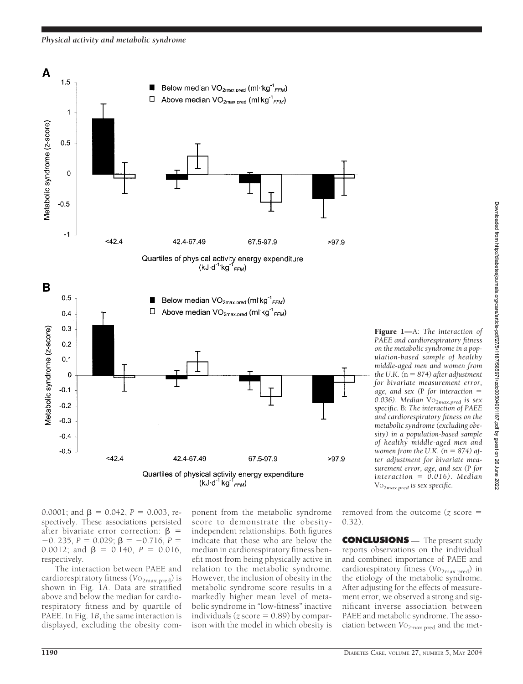

0.0001; and  $\beta = 0.042$ ,  $P = 0.003$ , respectively. These associations persisted after bivariate error correction:  $\beta$  =  $-0.235, P = 0.029; \beta = -0.716, P =$ 0.0012; and  $\beta = 0.140$ ,  $P = 0.016$ , respectively.

The interaction between PAEE and cardiorespiratory fitness (Vo<sub>2max.pred</sub>) is shown in Fig. 1*A*. Data are stratified above and below the median for cardiorespiratory fitness and by quartile of PAEE. In Fig. 1*B*, the same interaction is displayed, excluding the obesity com-

ponent from the metabolic syndrome score to demonstrate the obesityindependent relationships. Both figures indicate that those who are below the median in cardiorespiratory fitness benefit most from being physically active in relation to the metabolic syndrome. However, the inclusion of obesity in the metabolic syndrome score results in a markedly higher mean level of metabolic syndrome in "low-fitness" inactive individuals ( $\zeta$  score = 0.89) by comparison with the model in which obesity is

removed from the outcome (*z* score 0.32).

**CONCLUSIONS** — The present study reports observations on the individual and combined importance of PAEE and cardiorespiratory fitness (VO<sub>2max.pred</sub>) in the etiology of the metabolic syndrome. After adjusting for the effects of measurement error, we observed a strong and significant inverse association between PAEE and metabolic syndrome. The association between  $V_{\text{O}_{2\text{max.pred}}}$  and the met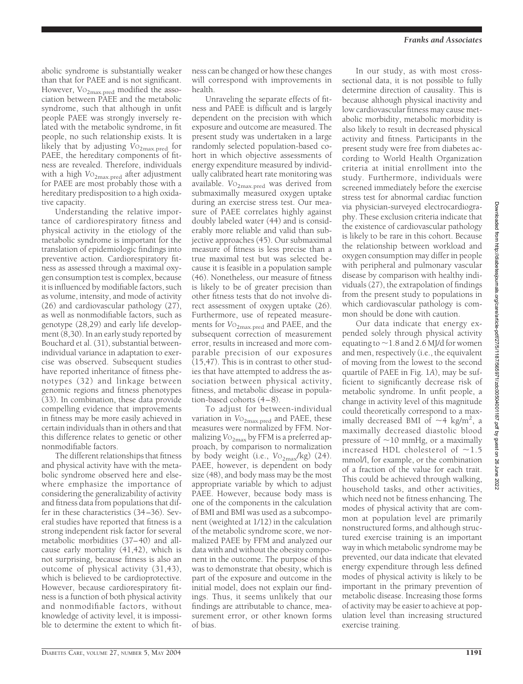abolic syndrome is substantially weaker than that for PAEE and is not significant. However, Vo<sub>2max.pred</sub> modified the association between PAEE and the metabolic syndrome, such that although in unfit people PAEE was strongly inversely related with the metabolic syndrome, in fit people, no such relationship exists. It is likely that by adjusting V<sub>O2max.pred</sub> for PAEE, the hereditary components of fitness are revealed. Therefore, individuals with a high  $V_{{O}_{2max, pred}}$  after adjustment for PAEE are most probably those with a hereditary predisposition to a high oxidative capacity.

Understanding the relative importance of cardiorespiratory fitness and physical activity in the etiology of the metabolic syndrome is important for the translation of epidemiologic findings into preventive action. Cardiorespiratory fitness as assessed through a maximal oxygen consumption test is complex, because it is influenced by modifiable factors, such as volume, intensity, and mode of activity (26) and cardiovascular pathology (27), as well as nonmodifiable factors, such as genotype (28,29) and early life development (8,30). In an early study reported by Bouchard et al. (31), substantial betweenindividual variance in adaptation to exercise was observed. Subsequent studies have reported inheritance of fitness phenotypes (32) and linkage between genomic regions and fitness phenotypes (33). In combination, these data provide compelling evidence that improvements in fitness may be more easily achieved in certain individuals than in others and that this difference relates to genetic or other nonmodifiable factors.

The different relationships that fitness and physical activity have with the metabolic syndrome observed here and elsewhere emphasize the importance of considering the generalizability of activity and fitness data from populations that differ in these characteristics (34–36). Several studies have reported that fitness is a strong independent risk factor for several metabolic morbidities (37–40) and allcause early mortality (41,42), which is not surprising, because fitness is also an outcome of physical activity (31,43), which is believed to be cardioprotective. However, because cardiorespiratory fitness is a function of both physical activity and nonmodifiable factors, without knowledge of activity level, it is impossible to determine the extent to which fit-

ness can be changed or how these changes will correspond with improvements in health.

Unraveling the separate effects of fitness and PAEE is difficult and is largely dependent on the precision with which exposure and outcome are measured. The present study was undertaken in a large randomly selected population-based cohort in which objective assessments of energy expenditure measured by individually calibrated heart rate monitoring was available. *V*O<sub>2max.pred</sub> was derived from submaximally measured oxygen uptake during an exercise stress test. Our measure of PAEE correlates highly against doubly labeled water (44) and is considerably more reliable and valid than subjective approaches (45). Our submaximal measure of fitness is less precise than a true maximal test but was selected because it is feasible in a population sample (46). Nonetheless, our measure of fitness is likely to be of greater precision than other fitness tests that do not involve direct assessment of oxygen uptake (26). Furthermore, use of repeated measurements for  $V_{{O_{2max.{pred}}}}$  and PAEE, and the subsequent correction of measurement error, results in increased and more comparable precision of our exposures (15,47). This is in contrast to other studies that have attempted to address the association between physical activity, fitness, and metabolic disease in population-based cohorts (4–8).

To adjust for between-individual variation in  $V_{O_{2max, pred}}$  and PAEE, these measures were normalized by FFM. Normalizing  $\mathrm{Vo}_{2\mathrm{max}}$  by FFM is a preferred approach, by comparison to normalization by body weight (i.e.,  $V_{\text{O}_{2\text{max}}}/\text{kg}$ ) (24). PAEE, however, is dependent on body size (48), and body mass may be the most appropriate variable by which to adjust PAEE. However, because body mass is one of the components in the calculation of BMI and BMI was used as a subcomponent (weighted at 1/12) in the calculation of the metabolic syndrome score, we normalized PAEE by FFM and analyzed our data with and without the obesity component in the outcome. The purpose of this was to demonstrate that obesity, which is part of the exposure and outcome in the initial model, does not explain our findings. Thus, it seems unlikely that our findings are attributable to chance, measurement error, or other known forms of bias.

In our study, as with most crosssectional data, it is not possible to fully determine direction of causality. This is because although physical inactivity and low cardiovascular fitness may cause metabolic morbidity, metabolic morbidity is also likely to result in decreased physical activity and fitness. Participants in the present study were free from diabetes according to World Health Organization criteria at initial enrollment into the study. Furthermore, individuals were screened immediately before the exercise stress test for abnormal cardiac function via physician-surveyed electrocardiography. These exclusion criteria indicate that the existence of cardiovascular pathology is likely to be rare in this cohort. Because the relationship between workload and oxygen consumption may differ in people with peripheral and pulmonary vascular disease by comparison with healthy individuals (27), the extrapolation of findings from the present study to populations in which cardiovascular pathology is common should be done with caution.

Our data indicate that energy expended solely through physical activity equating to  $\sim$  1.8 and 2.6 MJ/d for women and men, respectively (i.e., the equivalent of moving from the lowest to the second quartile of PAEE in Fig. 1*A*), may be sufficient to significantly decrease risk of metabolic syndrome. In unfit people, a change in activity level of this magnitude could theoretically correspond to a maximally decreased BMI of  $\sim$ 4 kg/m<sup>2</sup>, a maximally decreased diastolic blood pressure of  $\sim$ 10 mmHg, or a maximally increased HDL cholesterol of  $\sim$ 1.5 mmol/l, for example, or the combination of a fraction of the value for each trait. This could be achieved through walking, household tasks, and other activities, which need not be fitness enhancing. The modes of physical activity that are common at population level are primarily nonstructured forms, and although structured exercise training is an important way in which metabolic syndrome may be prevented, our data indicate that elevated energy expenditure through less defined modes of physical activity is likely to be important in the primary prevention of metabolic disease. Increasing those forms of activity may be easier to achieve at population level than increasing structured exercise training.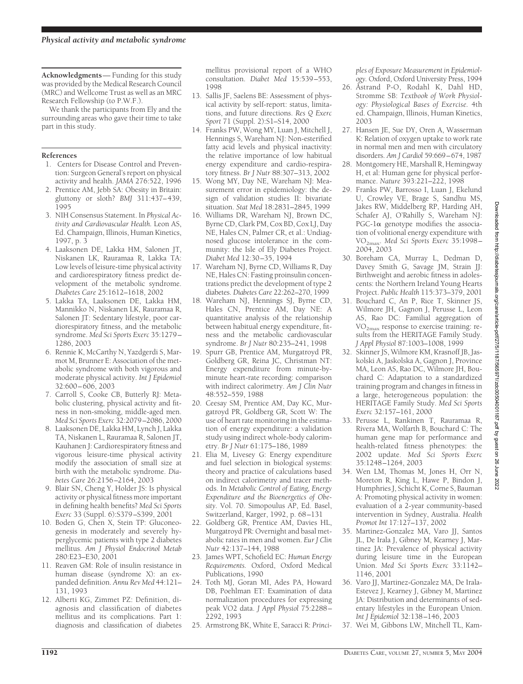**Acknowledgments**— Funding for this study was provided by the Medical Research Council (MRC) and Wellcome Trust as well as an MRC Research Fellowship (to P.W.F.).

We thank the participants from Ely and the surrounding areas who gave their time to take part in this study.

#### **References**

- 1. Centers for Disease Control and Prevention: Surgeon General's report on physical activity and health. *JAMA* 276:522, 1996
- 2. Prentice AM, Jebb SA: Obesity in Britain: gluttony or sloth? *BMJ* 311:437–439, 1995
- 3. NIH Consensus Statement. In *Physical Activity and Cardiovascular Health.* Leon AS, Ed. Champaign, Illinois, Human Kinetics, 1997, p. 3
- 4. Laaksonen DE, Lakka HM, Salonen JT, Niskanen LK, Rauramaa R, Lakka TA: Low levels of leisure-time physical activity and cardiorespiratory fitness predict development of the metabolic syndrome. *Diabetes Care* 25:1612–1618, 2002
- 5. Lakka TA, Laaksonen DE, Lakka HM, Mannikko N, Niskanen LK, Rauramaa R, Salonen JT: Sedentary lifestyle, poor cardiorespiratory fitness, and the metabolic syndrome. *Med Sci Sports Exerc* 35:1279– 1286, 2003
- 6. Rennie K, McCarthy N, Yazdgerdi S, Marmot M, Brunner E: Association of the metabolic syndrome with both vigorous and moderate physical activity. *Int J Epidemiol* 32:600–606, 2003
- 7. Carroll S, Cooke CB, Butterly RJ: Metabolic clustering, physical activity and fitness in non-smoking, middle-aged men. *Med Sci Sports Exerc* 32:2079–2086, 2000
- 8. Laaksonen DE, Lakka HM, Lynch J, Lakka TA, Niskanen L, Rauramaa R, Salonen JT, Kauhanen J: Cardiorespiratory fitness and vigorous leisure-time physical activity modify the association of small size at birth with the metabolic syndrome. *Diabetes Care* 26:2156–2164, 2003
- 9. Blair SN, Cheng Y, Holder JS: Is physical activity or physical fitness more important in defining health benefits? *Med Sci Sports Exerc* 33 (Suppl. 6):S379–S399, 2001
- 10. Boden G, Chen X, Stein TP: Gluconeogenesis in moderately and severely hyperglycemic patients with type 2 diabetes mellitus. *Am J Physiol Endocrinol Metab* 280:E23–E30, 2001
- 11. Reaven GM: Role of insulin resistance in human disease (syndrome X): an expanded definition. *Annu Rev Med* 44:121– 131, 1993
- 12. Alberti KG, Zimmet PZ: Definition, diagnosis and classification of diabetes mellitus and its complications. Part 1: diagnosis and classification of diabetes

mellitus provisional report of a WHO consultation. *Diabet Med* 15:539–553, 1998

- 13. Sallis JF, Saelens BE: Assessment of physical activity by self-report: status, limitations, and future directions. *Res Q Exerc Sport* 71 (Suppl. 2):S1–S14, 2000
- 14. Franks PW, Wong MY, Luan J, Mitchell J, Hennings S, Wareham NJ: Non-esterified fatty acid levels and physical inactivity: the relative importance of low habitual energy expenditure and cardio-respiratory fitness. *Br J Nutr* 88:307–313, 2002
- 15. Wong MY, Day NE, Wareham NJ: Measurement error in epidemiology: the design of validation studies II: bivariate situation. *Stat Med* 18:2831–2845, 1999
- 16. Williams DR, Wareham NJ, Brown DC, Byrne CD, Clark PM, Cox BD, Cox LJ, Day NE, Hales CN, Palmer CR, et al.: Undiagnosed glucose intolerance in the community: the Isle of Ely Diabetes Project. *Diabet Med* 12:30–35, 1994
- 17. Wareham NJ, Byrne CD, Williams R, Day NE, Hales CN: Fasting proinsulin concentrations predict the development of type 2 diabetes. *Diabetes Care* 22:262–270, 1999
- 18. Wareham NJ, Hennings SJ, Byrne CD, Hales CN, Prentice AM, Day NE: A quantitative analysis of the relationship between habitual energy expenditure, fitness and the metabolic cardiovascular syndrome. *Br J Nutr* 80:235–241, 1998
- 19. Spurr GB, Prentice AM, Murgatroyd PR, Goldberg GR, Reina JC, Christman NT: Energy expenditure from minute-byminute heart-rate recording: comparison with indirect calorimetry. *Am J Clin Nutr* 48:552–559, 1988
- 20. Ceesay SM, Prentice AM, Day KC, Murgatroyd PR, Goldberg GR, Scott W: The use of heart rate monitoring in the estimation of energy expenditure: a validation study using indirect whole-body calorimetry. *Br J Nutr* 61:175–186, 1989
- 21. Elia M, Livesey G: Energy expenditure and fuel selection in biological systems: theory and practice of calculations based on indirect calorimetry and tracer methods. In *Metabolic Control of Eating, Energy Expenditure and the Bioenergetics of Obesity.* Vol. 70. Simopoulus AP, Ed. Basel, Switzerland, Karger, 1992, p. 68–131
- 22. Goldberg GR, Prentice AM, Davies HL, Murgatroyd PR: Overnight and basal metabolic rates in men and women. *Eur J Clin Nutr* 42:137–144, 1988
- 23. James WPT, Schofield EC: *Human Energy Requirements.* Oxford, Oxford Medical Publications, 1990
- 24. Toth MJ, Goran MI, Ades PA, Howard DB, Poehlman ET: Examination of data normalization procedures for expressing peak VO2 data. *J Appl Physiol* 75:2288– 2292, 1993
- 25. Armstrong BK, White E, Saracci R: *Princi-*

*ples of Exposure Measurement in Epidemiology.* Oxford, Oxford University Press, 1994

- 26. Åstrand P-O, Rodahl K, Dahl HD, Stromme SB: *Textbook of Work Physiology: Physiological Bases of Exercise.* 4th ed. Champaign, Illinois, Human Kinetics, 2003
- 27. Hansen JE, Sue DY, Oren A, Wasserman K: Relation of oxygen uptake to work rate in normal men and men with circulatory disorders. *Am J Cardiol* 59:669–674, 1987
- 28. Montgomery HE, Marshall R, Hemingway H, et al: Human gene for physical performance. *Nature* 393:221–222, 1998
- 29. Franks PW, Barrosso I, Luan J, Ekelund U, Crowley VE, Brage S, Sandhu MS, Jakes RW, Middelberg RP, Harding AH, Schafer AJ, O'Rahilly S, Wareham NJ:  $PGC-1\alpha$  genotype modifies the association of volitional energy expenditure with VO2max. *Med Sci Sports Exerc* 35:1998– 2004, 2003
- 30. Boreham CA, Murray L, Dedman D, Davey Smith G, Savage JM, Strain JJ: Birthweight and aerobic fitness in adolescents: the Northern Ireland Young Hearts Project. *Public Health* 115:373–379, 2001
- 31. Bouchard C, An P, Rice T, Skinner JS, Wilmore JH, Gagnon J, Perusse L, Leon AS, Rao DC: Familial aggregation of VO2max response to exercise training: results from the HERITAGE Family Study. *J Appl Physiol* 87:1003–1008, 1999
- 32. Skinner JS, Wilmore KM, Krasnoff JB, Jaskolski A, Jaskolska A, Gagnon J, Province MA, Leon AS, Rao DC, Wilmore JH, Bouchard C: Adaptation to a standardized training program and changes in fitness in a large, heterogeneous population: the HERITAGE Family Study. *Med Sci Sports Exerc* 32:157–161, 2000
- 33. Perusse L, Rankinen T, Rauramaa R, Rivera MA, Wolfarth B, Bouchard C: The human gene map for performance and health-related fitness phenotypes: the 2002 update. *Med Sci Sports Exerc* 35:1248–1264, 2003
- 34. Wen LM, Thomas M, Jones H, Orr N, Moreton R, King L, Hawe P, Bindon J, Humphries J, Schicht K, Corne S, Bauman A: Promoting physical activity in women: evaluation of a 2-year community-based intervention in Sydney, Australia. *Health Promot Int* 17:127–137, 2002
- 35. Martinez-Gonzalez MA, Varo JJ, Santos JL, De Irala J, Gibney M, Kearney J, Martinez JA: Prevalence of physical activity during leisure time in the European Union. *Med Sci Sports Exerc* 33:1142– 1146, 2001
- 36. Varo JJ, Martinez-Gonzalez MA, De Irala-Estevez J, Kearney J, Gibney M, Martinez JA: Distribution and determinants of sedentary lifestyles in the European Union. *Int J Epidemiol* 32:138–146, 2003
- 37. Wei M, Gibbons LW, Mitchell TL, Kam-